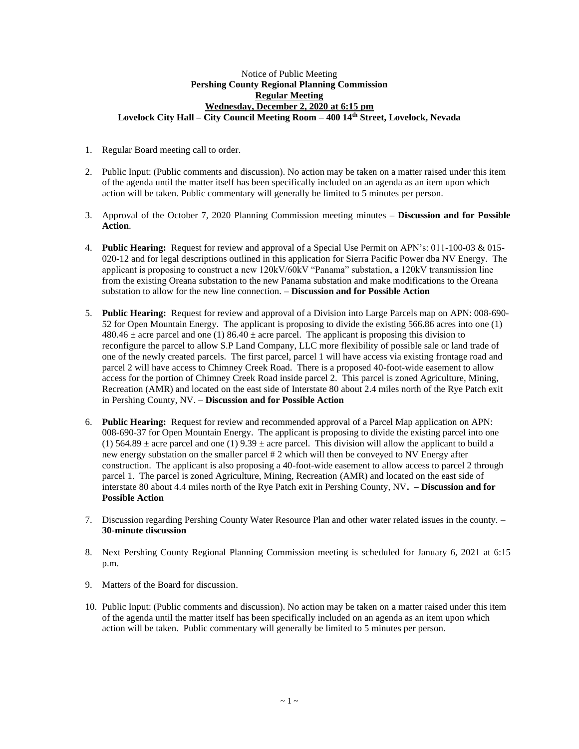## Notice of Public Meeting **Pershing County Regional Planning Commission Regular Meeting Wednesday, December 2, 2020 at 6:15 pm Lovelock City Hall – City Council Meeting Room – 400 14th Street, Lovelock, Nevada**

- 1. Regular Board meeting call to order.
- 2. Public Input: (Public comments and discussion). No action may be taken on a matter raised under this item of the agenda until the matter itself has been specifically included on an agenda as an item upon which action will be taken. Public commentary will generally be limited to 5 minutes per person.
- 3. Approval of the October 7, 2020 Planning Commission meeting minutes **– Discussion and for Possible Action**.
- 4. **Public Hearing:** Request for review and approval of a Special Use Permit on APN's: 011-100-03 & 015- 020-12 and for legal descriptions outlined in this application for Sierra Pacific Power dba NV Energy. The applicant is proposing to construct a new 120kV/60kV "Panama" substation, a 120kV transmission line from the existing Oreana substation to the new Panama substation and make modifications to the Oreana substation to allow for the new line connection. **– Discussion and for Possible Action**
- 5. **Public Hearing:** Request for review and approval of a Division into Large Parcels map on APN: 008-690- 52 for Open Mountain Energy. The applicant is proposing to divide the existing 566.86 acres into one (1)  $480.46 \pm \text{acre}$  parcel and one (1)  $86.40 \pm \text{acre}$  parcel. The applicant is proposing this division to reconfigure the parcel to allow S.P Land Company, LLC more flexibility of possible sale or land trade of one of the newly created parcels. The first parcel, parcel 1 will have access via existing frontage road and parcel 2 will have access to Chimney Creek Road. There is a proposed 40-foot-wide easement to allow access for the portion of Chimney Creek Road inside parcel 2. This parcel is zoned Agriculture, Mining, Recreation (AMR) and located on the east side of Interstate 80 about 2.4 miles north of the Rye Patch exit in Pershing County, NV. – **Discussion and for Possible Action**
- 6. **Public Hearing:** Request for review and recommended approval of a Parcel Map application on APN: 008-690-37 for Open Mountain Energy. The applicant is proposing to divide the existing parcel into one (1) 564.89  $\pm$  acre parcel and one (1) 9.39  $\pm$  acre parcel. This division will allow the applicant to build a new energy substation on the smaller parcel # 2 which will then be conveyed to NV Energy after construction. The applicant is also proposing a 40-foot-wide easement to allow access to parcel 2 through parcel 1. The parcel is zoned Agriculture, Mining, Recreation (AMR) and located on the east side of interstate 80 about 4.4 miles north of the Rye Patch exit in Pershing County, NV**. – Discussion and for Possible Action**
- 7. Discussion regarding Pershing County Water Resource Plan and other water related issues in the county. **30-minute discussion**
- 8. Next Pershing County Regional Planning Commission meeting is scheduled for January 6, 2021 at 6:15 p.m.
- 9. Matters of the Board for discussion.
- 10. Public Input: (Public comments and discussion). No action may be taken on a matter raised under this item of the agenda until the matter itself has been specifically included on an agenda as an item upon which action will be taken. Public commentary will generally be limited to 5 minutes per person.